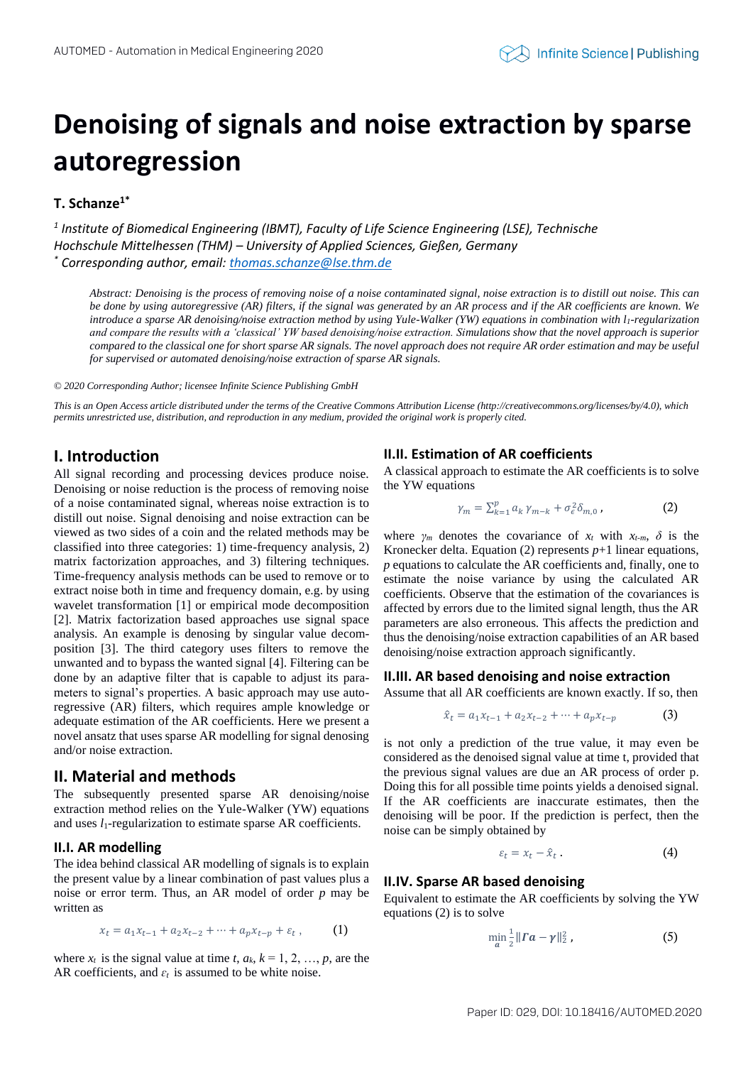# **Denoising of signals and noise extraction by sparse autoregression**

# **T. Schanze1\***

*1 Institute of Biomedical Engineering (IBMT), Faculty of Life Science Engineering (LSE), Technische Hochschule Mittelhessen (THM) – University of Applied Sciences, Gießen, Germany \* Corresponding author, email: [thomas.schanze@lse.thm.de](mailto:thomas.schanze@lse.thm.de)*

*Abstract: Denoising is the process of removing noise of a noise contaminated signal, noise extraction is to distill out noise. This can be done by using autoregressive (AR) filters, if the signal was generated by an AR process and if the AR coefficients are known. We introduce a sparse AR denoising/noise extraction method by using Yule-Walker (YW) equations in combination with l<sub>1</sub>-regularization and compare the results with a 'classical' YW based denoising/noise extraction. Simulations show that the novel approach is superior compared to the classical one for short sparse AR signals. The novel approach does not require AR order estimation and may be useful for supervised or automated denoising/noise extraction of sparse AR signals.* 

*© 2020 Corresponding Author; licensee Infinite Science Publishing GmbH*

*This is an Open Access article distributed under the terms of the Creative Commons Attribution License (http://creativecommons.org/licenses/by/4.0), which permits unrestricted use, distribution, and reproduction in any medium, provided the original work is properly cited.*

# **I. Introduction**

All signal recording and processing devices produce noise. Denoising or noise reduction is the process of removing noise of a noise contaminated signal, whereas noise extraction is to distill out noise. Signal denoising and noise extraction can be viewed as two sides of a coin and the related methods may be classified into three categories: 1) time-frequency analysis, 2) matrix factorization approaches, and 3) filtering techniques. Time-frequency analysis methods can be used to remove or to extract noise both in time and frequency domain, e.g. by using wavelet transformation [1] or empirical mode decomposition [2]. Matrix factorization based approaches use signal space analysis. An example is denosing by singular value decomposition [3]. The third category uses filters to remove the unwanted and to bypass the wanted signal [4]. Filtering can be done by an adaptive filter that is capable to adjust its parameters to signal's properties. A basic approach may use autoregressive (AR) filters, which requires ample knowledge or adequate estimation of the AR coefficients. Here we present a novel ansatz that uses sparse AR modelling for signal denosing and/or noise extraction.

## **II. Material and methods**

The subsequently presented sparse AR denoising/noise extraction method relies on the Yule-Walker (YW) equations and uses *l*<sub>1</sub>-regularization to estimate sparse AR coefficients.

## **II.I. AR modelling**

The idea behind classical AR modelling of signals is to explain the present value by a linear combination of past values plus a noise or error term. Thus, an AR model of order *p* may be written as

$$
x_t = a_1 x_{t-1} + a_2 x_{t-2} + \dots + a_p x_{t-p} + \varepsilon_t, \qquad (1)
$$

where  $x_t$  is the signal value at time  $t, a_k, k = 1, 2, ..., p$ , are the AR coefficients, and  $\varepsilon_t$  is assumed to be white noise.

## **II.II. Estimation of AR coefficients**

A classical approach to estimate the AR coefficients is to solve the YW equations

$$
\gamma_m = \sum_{k=1}^p a_k \gamma_{m-k} + \sigma_\epsilon^2 \delta_{m,0} \,, \tag{2}
$$

where  $\gamma_m$  denotes the covariance of  $x_t$  with  $x_{t-m}$ ,  $\delta$  is the Kronecker delta. Equation (2) represents  $p+1$  linear equations, *p* equations to calculate the AR coefficients and, finally, one to estimate the noise variance by using the calculated AR coefficients. Observe that the estimation of the covariances is affected by errors due to the limited signal length, thus the AR parameters are also erroneous. This affects the prediction and thus the denoising/noise extraction capabilities of an AR based denoising/noise extraction approach significantly.

## **II.III. AR based denoising and noise extraction**

Assume that all AR coefficients are known exactly. If so, then

$$
\hat{x}_t = a_1 x_{t-1} + a_2 x_{t-2} + \dots + a_p x_{t-p} \tag{3}
$$

is not only a prediction of the true value, it may even be considered as the denoised signal value at time t, provided that the previous signal values are due an AR process of order p. Doing this for all possible time points yields a denoised signal. If the AR coefficients are inaccurate estimates, then the denoising will be poor. If the prediction is perfect, then the noise can be simply obtained by

$$
\varepsilon_t = x_t - \hat{x}_t \,. \tag{4}
$$

## **II.IV. Sparse AR based denoising**

Equivalent to estimate the AR coefficients by solving the YW equations (2) is to solve

$$
\min_{a} \frac{1}{2} \| Ia - \gamma \|_2^2, \tag{5}
$$